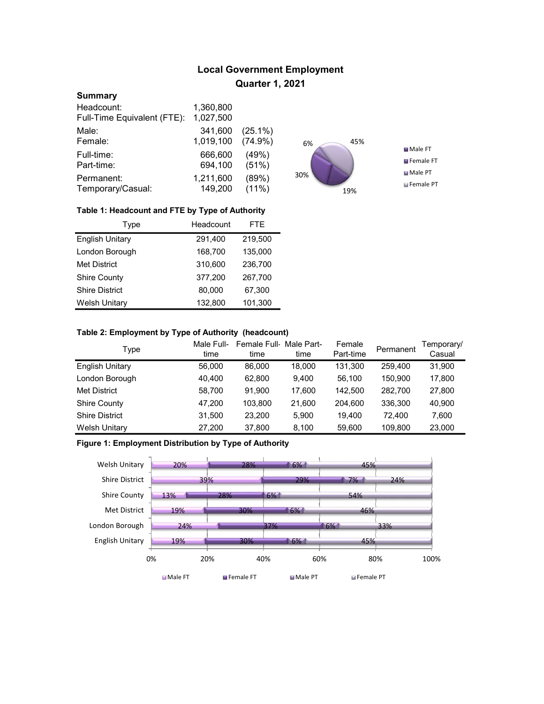# Local Government Employment Quarter 1, 2021

## **Summary**

| Headcount:                  | 1,360,800 |            |
|-----------------------------|-----------|------------|
| Full-Time Equivalent (FTE): | 1,027,500 |            |
| Male:                       | 341,600   | $(25.1\%)$ |
| Female:                     | 1,019,100 | $(74.9\%)$ |
| Full-time:                  | 666,600   | (49%)      |
| Part-time:                  | 694,100   | (51%)      |
| Permanent:                  | 1,211,600 | (89%)      |
| Temporary/Casual:           | 149,200   | $(11\%)$   |



## Table 1: Headcount and FTE by Type of Authority

| <b>Type</b>            | Headcount | <b>FTE</b> |
|------------------------|-----------|------------|
| <b>English Unitary</b> | 291,400   | 219,500    |
| London Borough         | 168,700   | 135,000    |
| <b>Met District</b>    | 310,600   | 236,700    |
| <b>Shire County</b>    | 377.200   | 267,700    |
| <b>Shire District</b>  | 80,000    | 67,300     |
| <b>Welsh Unitary</b>   | 132,800   | 101,300    |

## Table 2: Employment by Type of Authority (headcount)

| Type                   | Male Full-<br>time | Female Full-Male Part-<br>time | time   | Female<br>Part-time | Permanent | Temporary/<br>Casual |
|------------------------|--------------------|--------------------------------|--------|---------------------|-----------|----------------------|
| <b>English Unitary</b> | 56,000             | 86,000                         | 18.000 | 131.300             | 259,400   | 31,900               |
| London Borough         | 40.400             | 62.800                         | 9.400  | 56.100              | 150,900   | 17,800               |
| <b>Met District</b>    | 58,700             | 91.900                         | 17,600 | 142.500             | 282.700   | 27,800               |
| <b>Shire County</b>    | 47,200             | 103.800                        | 21,600 | 204.600             | 336,300   | 40,900               |
| <b>Shire District</b>  | 31,500             | 23.200                         | 5.900  | 19.400              | 72.400    | 7.600                |
| <b>Welsh Unitary</b>   | 27,200             | 37,800                         | 8,100  | 59,600              | 109,800   | 23,000               |

# Figure 1: Employment Distribution by Type of Authority